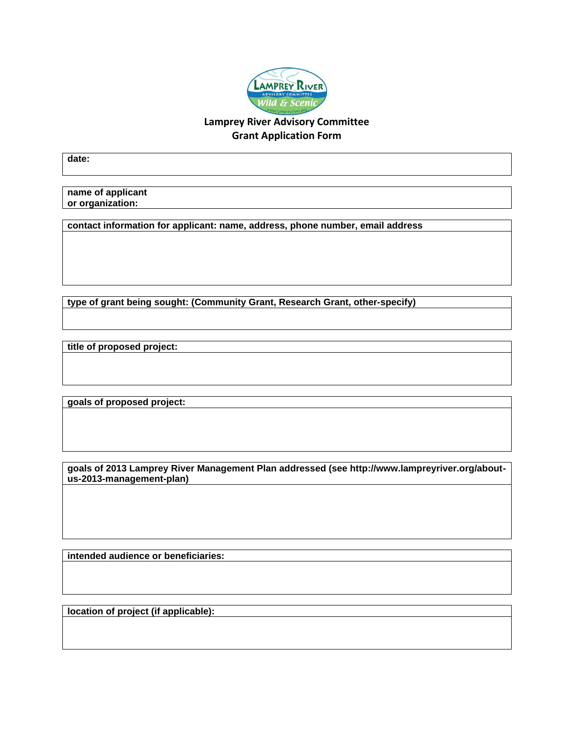

## **Lamprey River Advisory Committee Grant Application Form**

**date:**

**name of applicant or organization:**

**contact information for applicant: name, address, phone number, email address**

**type of grant being sought: (Community Grant, Research Grant, other-specify)**

**title of proposed project:**

**goals of proposed project:**

**goals of 2013 Lamprey River Management Plan addressed (see http://www.lampreyriver.org/aboutus-2013-management-plan)**

**intended audience or beneficiaries:**

**location of project (if applicable):**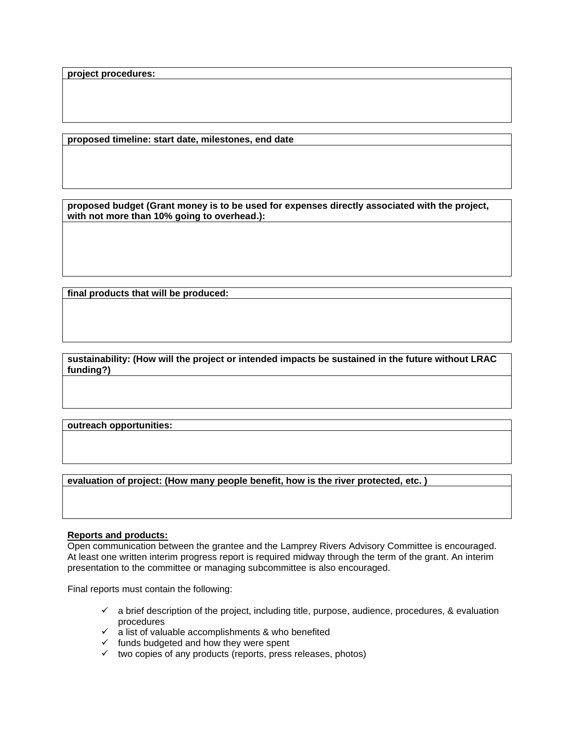**project procedures:**

**proposed timeline: start date, milestones, end date**

**proposed budget (Grant money is to be used for expenses directly associated with the project, with not more than 10% going to overhead.):**

**final products that will be produced:**

**sustainability: (How will the project or intended impacts be sustained in the future without LRAC funding?)**

**outreach opportunities:**

**evaluation of project: (How many people benefit, how is the river protected, etc. )**

## **Reports and products:**

Open communication between the grantee and the Lamprey Rivers Advisory Committee is encouraged. At least one written interim progress report is required midway through the term of the grant. An interim presentation to the committee or managing subcommittee is also encouraged.

Final reports must contain the following:

- $\checkmark$  a brief description of the project, including title, purpose, audience, procedures, & evaluation procedures procedures
- $\checkmark$  a list of valuable accomplishments & who benefited
- ✓ funds budgeted and how they were spent
- $\checkmark$  two copies of any products (reports, press releases, photos)